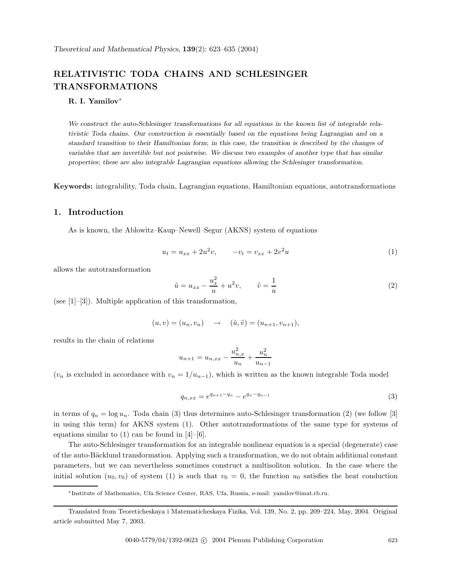# **RELATIVISTIC TODA CHAINS AND SCHLESINGER TRANSFORMATIONS**

### **R. I. Yamilov**∗

*We construct the auto-Schlesinger transformations for all equations in the known list of integrable relativistic Toda chains. Our construction is essentially based on the equations being Lagrangian and on a standard transition to their Hamiltonian form*; *in this case, the transition is described by the changes of variables that are invertible but not pointwise. We discuss two examples of another type that has similar properties*; *these are also integrable Lagrangian equations allowing the Schlesinger transformation.*

**Keywords:** integrability, Toda chain, Lagrangian equations, Hamiltonian equations, autotransformations

## **1. Introduction**

As is known, the Ablowitz–Kaup–Newell–Segur (AKNS) systemof equations

$$
u_t = u_{xx} + 2u^2v, \qquad -v_t = v_{xx} + 2v^2u \tag{1}
$$

allows the autotransformation

$$
\tilde{u} = u_{xx} - \frac{u_x^2}{u} + u^2 v, \qquad \tilde{v} = \frac{1}{u}
$$
\n
$$
(2)
$$

(see [1]–[3]). Multiple application of this transformation,

$$
(u, v) = (u_n, v_n) \rightarrow (\tilde{u}, \tilde{v}) = (u_{n+1}, v_{n+1}),
$$

results in the chain of relations

$$
u_{n+1} = u_{n,xx} - \frac{u_{n,x}^2}{u_n} + \frac{u_n^2}{u_{n-1}}
$$

 $(v_n$  is excluded in accordance with  $v_n = 1/u_{n-1}$ , which is written as the known integrable Toda model

$$
q_{n,xx} = e^{q_{n+1} - q_n} - e^{q_n - q_{n-1}}
$$
\n(3)

in terms of  $q_n = \log u_n$ . Toda chain (3) thus determines auto-Schlesinger transformation (2) (we follow [3] in using this term) for AKNS system (1). Other autotransformations of the same type for systems of equations similar to  $(1)$  can be found in  $[4]-[6]$ .

The auto-Schlesinger transformation for an integrable nonlinear equation is a special (degenerate) case of the auto-B¨acklund transformation. Applying such a transformation, we do not obtain additional constant parameters, but we can nevertheless sometimes construct a multisoliton solution. In the case where the initial solution  $(u_0, v_0)$  of system (1) is such that  $v_0 = 0$ , the function  $u_0$  satisfies the heat conduction

<sup>∗</sup>Institute of Mathematics, Ufa Science Center, RAS, Ufa, Russia, e-mail: yamilov@imat.rb.ru.

Translated from Teoreticheskaya i Matematicheskaya Fizika, Vol. 139, No. 2, pp. 209–224, May, 2004. Original article submitted May 7, 2003.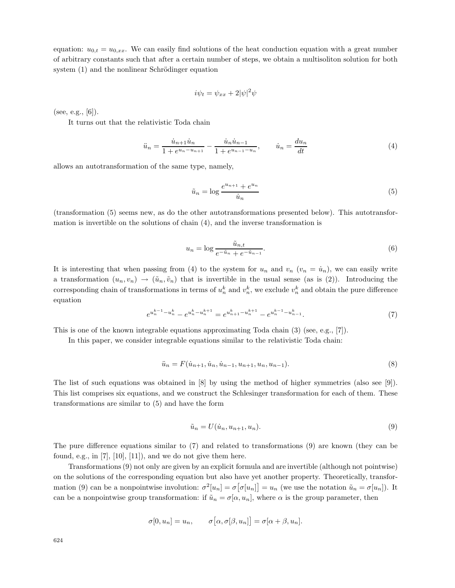equation:  $u_{0,t} = u_{0,xx}$ . We can easily find solutions of the heat conduction equation with a great number of arbitrary constants such that after a certain number of steps, we obtain a multisoliton solution for both system  $(1)$  and the nonlinear Schrödinger equation

$$
i\psi_t = \psi_{xx} + 2|\psi|^2\psi
$$

(see, e.g.,  $[6]$ ).

It turns out that the relativistic Toda chain

$$
\ddot{u}_n = \frac{\dot{u}_{n+1}\dot{u}_n}{1 + e^{u_n - u_{n+1}}} - \frac{\dot{u}_n\dot{u}_{n-1}}{1 + e^{u_{n-1} - u_n}}, \qquad \dot{u}_n = \frac{du_n}{dt} \tag{4}
$$

allows an autotransformation of the same type, namely,

$$
\tilde{u}_n = \log \frac{e^{u_{n+1}} + e^{u_n}}{\dot{u}_n} \tag{5}
$$

(transformation (5) seems new, as do the other autotransformations presented below). This autotransformation is invertible on the solutions of chain (4), and the inverse transformation is

$$
u_n = \log \frac{\tilde{u}_{n,t}}{e^{-\tilde{u}_n} + e^{-\tilde{u}_{n-1}}}.
$$
\n
$$
(6)
$$

It is interesting that when passing from (4) to the system for  $u_n$  and  $v_n$  ( $v_n = \dot{u}_n$ ), we can easily write a transformation  $(u_n, v_n) \to (\tilde{u}_n, \tilde{v}_n)$  that is invertible in the usual sense (as is (2)). Introducing the corresponding chain of transformations in terms of  $u_n^k$  and  $v_n^k$ , we exclude  $v_n^k$  and obtain the pure difference equation

$$
e^{u_n^{k-1} - u_n^k} - e^{u_n^k - u_n^{k+1}} = e^{u_{n+1}^k - u_n^{k+1}} - e^{u_n^{k-1} - u_{n-1}^k}.
$$

$$
\tag{7}
$$

This is one of the known integrable equations approximating Toda chain (3) (see, e.g., [7]).

In this paper, we consider integrable equations similar to the relativistic Toda chain:

$$
\ddot{u}_n = F(\dot{u}_{n+1}, \dot{u}_n, \dot{u}_{n-1}, u_{n+1}, u_n, u_{n-1}).
$$
\n(8)

The list of such equations was obtained in [8] by using the method of higher symmetries (also see [9]). This list comprises six equations, and we construct the Schlesinger transformation for each of them. These transformations are similar to (5) and have the form

$$
\tilde{u}_n = U(\dot{u}_n, u_{n+1}, u_n). \tag{9}
$$

The pure difference equations similar to (7) and related to transformations (9) are known (they can be found, e.g., in  $[7]$ ,  $[10]$ ,  $[11]$ ), and we do not give them here.

Transformations (9) not only are given by an explicit formula and are invertible (although not pointwise) on the solutions of the corresponding equation but also have yet another property. Theoretically, transformation (9) can be a nonpointwise involution:  $\sigma^2[u_n] = \sigma[\sigma[u_n]] = u_n$  (we use the notation  $\tilde{u}_n = \sigma[u_n]$ ). It can be a nonpointwise group transformation: if  $\tilde{u}_n = \sigma[\alpha, u_n]$ , where  $\alpha$  is the group parameter, then

$$
\sigma[0, u_n] = u_n, \qquad \sigma[\alpha, \sigma[\beta, u_n]] = \sigma[\alpha + \beta, u_n].
$$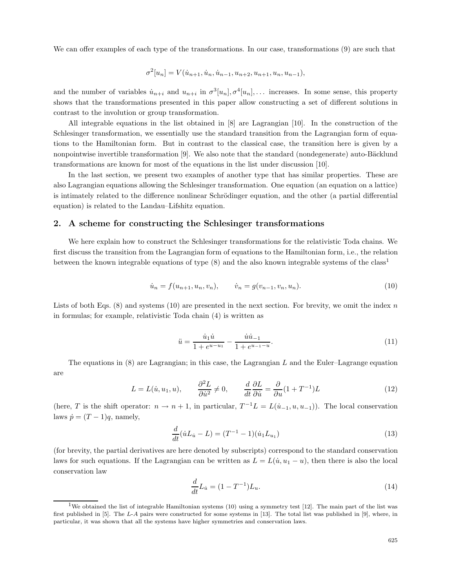We can offer examples of each type of the transformations. In our case, transformations  $(9)$  are such that

$$
\sigma^{2}[u_{n}] = V(\dot{u}_{n+1}, \dot{u}_{n}, \dot{u}_{n-1}, u_{n+2}, u_{n+1}, u_{n}, u_{n-1}),
$$

and the number of variables  $\dot{u}_{n+i}$  and  $u_{n+i}$  in  $\sigma^3[u_n], \sigma^4[u_n], \ldots$  increases. In some sense, this property shows that the transformations presented in this paper allow constructing a set of different solutions in contrast to the involution or group transformation.

All integrable equations in the list obtained in [8] are Lagrangian [10]. In the construction of the Schlesinger transformation, we essentially use the standard transition from the Lagrangian form of equations to the Hamiltonian form. But in contrast to the classical case, the transition here is given by a nonpointwise invertible transformation [9]. We also note that the standard (nondegenerate) auto-Bäcklund transformations are known for most of the equations in the list under discussion [10].

In the last section, we present two examples of another type that has similar properties. These are also Lagrangian equations allowing the Schlesinger transformation. One equation (an equation on a lattice) is intimately related to the difference nonlinear Schrödinger equation, and the other (a partial differential equation) is related to the Landau–Lifshitz equation.

#### **2. A scheme for constructing the Schlesinger transformations**

We here explain how to construct the Schlesinger transformations for the relativistic Toda chains. We first discuss the transition fromthe Lagrangian formof equations to the Hamiltonian form, i.e., the relation between the known integrable equations of type (8) and the also known integrable systems of the class<sup>1</sup>

$$
\dot{u}_n = f(u_{n+1}, u_n, v_n), \qquad \dot{v}_n = g(v_{n-1}, v_n, u_n). \tag{10}
$$

Lists of both Eqs.  $(8)$  and systems  $(10)$  are presented in the next section. For brevity, we omit the index n in formulas; for example, relativistic Toda chain (4) is written as

$$
\ddot{u} = \frac{\dot{u}_1 \dot{u}}{1 + e^{u - u_1}} - \frac{\dot{u}\dot{u}_{-1}}{1 + e^{u_{-1} - u}}.\tag{11}
$$

The equations in  $(8)$  are Lagrangian; in this case, the Lagrangian L and the Euler–Lagrange equation are

$$
L = L(\dot{u}, u_1, u), \qquad \frac{\partial^2 L}{\partial \dot{u}^2} \neq 0, \qquad \frac{d}{dt} \frac{\partial L}{\partial \dot{u}} = \frac{\partial}{\partial u} (1 + T^{-1}) L \tag{12}
$$

(here, T is the shift operator:  $n \to n+1$ , in particular,  $T^{-1}L = L(\dot{u}_{-1}, u, u_{-1})$ ). The local conservation laws  $\dot{p} = (T - 1)q$ , namely,

$$
\frac{d}{dt}(\dot{u}L_{\dot{u}} - L) = (T^{-1} - 1)(\dot{u}_1 L_{u_1})
$$
\n(13)

(for brevity, the partial derivatives are here denoted by subscripts) correspond to the standard conservation laws for such equations. If the Lagrangian can be written as  $L = L(\dot{u}, u_1 - u)$ , then there is also the local conservation law

$$
\frac{d}{dt}L_{\dot{u}} = (1 - T^{-1})L_{u}.\tag{14}
$$

<sup>&</sup>lt;sup>1</sup>We obtained the list of integrable Hamiltonian systems  $(10)$  using a symmetry test  $[12]$ . The main part of the list was first published in [5]. The *L*-*A* pairs were constructed for some systems in [13]. The total list was published in [9], where, in particular, it was shown that all the systems have higher symmetries and conservation laws.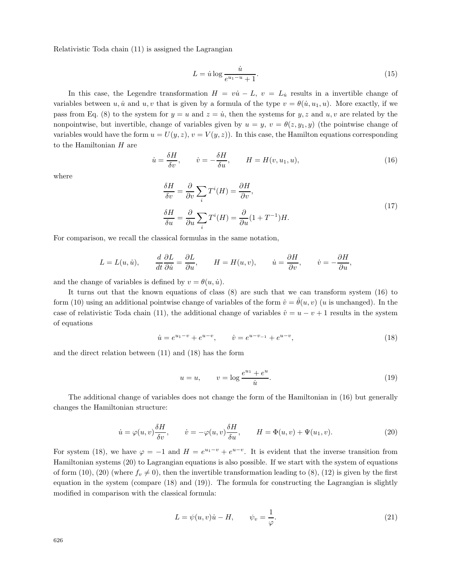Relativistic Toda chain (11) is assigned the Lagrangian

$$
L = \dot{u} \log \frac{\dot{u}}{e^{u_1 - u} + 1}.\tag{15}
$$

In this case, the Legendre transformation  $H = v\dot{u} - L$ ,  $v = L_{\dot{u}}$  results in a invertible change of variables between u, u and u, v that is given by a formula of the type  $v = \theta(u, u_1, u)$ . More exactly, if we pass from Eq. (8) to the system for  $y = u$  and  $z = \dot{u}$ , then the systems for y, z and u, v are related by the nonpointwise, but invertible, change of variables given by  $u = y$ ,  $v = \theta(z, y_1, y)$  (the pointwise change of variables would have the form  $u = U(y, z)$ ,  $v = V(y, z)$ . In this case, the Hamilton equations corresponding to the Hamiltonian  $H$  are

$$
\dot{u} = \frac{\delta H}{\delta v}, \qquad \dot{v} = -\frac{\delta H}{\delta u}, \qquad H = H(v, u_1, u), \tag{16}
$$

where

$$
\frac{\delta H}{\delta v} = \frac{\partial}{\partial v} \sum_{i} T^{i}(H) = \frac{\partial H}{\partial v},
$$
\n
$$
\frac{\delta H}{\delta u} = \frac{\partial}{\partial u} \sum_{i} T^{i}(H) = \frac{\partial}{\partial u} (1 + T^{-1}) H.
$$
\n(17)

For comparison, we recall the classical formulas in the same notation,

$$
L = L(u, \dot{u}),
$$
  $\frac{d}{dt} \frac{\partial L}{\partial \dot{u}} = \frac{\partial L}{\partial u},$   $H = H(u, v),$   $\dot{u} = \frac{\partial H}{\partial v},$   $\dot{v} = -\frac{\partial H}{\partial u},$ 

and the change of variables is defined by  $v = \theta(u, \dot{u})$ .

It turns out that the known equations of class  $(8)$  are such that we can transform system  $(16)$  to form (10) using an additional pointwise change of variables of the form  $\hat{v} = \hat{\theta}(u, v)$  (u is unchanged). In the case of relativistic Toda chain (11), the additional change of variables  $\hat{v} = u - v + 1$  results in the system of equations

$$
\dot{u} = e^{u_1 - v} + e^{u - v}, \qquad \dot{v} = e^{u - v_{-1}} + e^{u - v}, \tag{18}
$$

and the direct relation between (11) and (18) has the form

$$
u = u, \qquad v = \log \frac{e^{u_1} + e^u}{\dot{u}}.\tag{19}
$$

The additional change of variables does not change the formof the Hamiltonian in (16) but generally changes the Hamiltonian structure:

$$
\dot{u} = \varphi(u, v)\frac{\delta H}{\delta v}, \qquad \dot{v} = -\varphi(u, v)\frac{\delta H}{\delta u}, \qquad H = \Phi(u, v) + \Psi(u_1, v). \tag{20}
$$

For system (18), we have  $\varphi = -1$  and  $H = e^{u_1 - v} + e^{u-v}$ . It is evident that the inverse transition from Hamiltonian systems (20) to Lagrangian equations is also possible. If we start with the system of equations of form (10), (20) (where  $f_v \neq 0$ ), then the invertible transformation leading to (8), (12) is given by the first equation in the system (compare  $(18)$  and  $(19)$ ). The formula for constructing the Lagrangian is slightly modified in comparison with the classical formula:

$$
L = \psi(u, v)\dot{u} - H, \qquad \psi_v = \frac{1}{\varphi}.
$$
\n<sup>(21)</sup>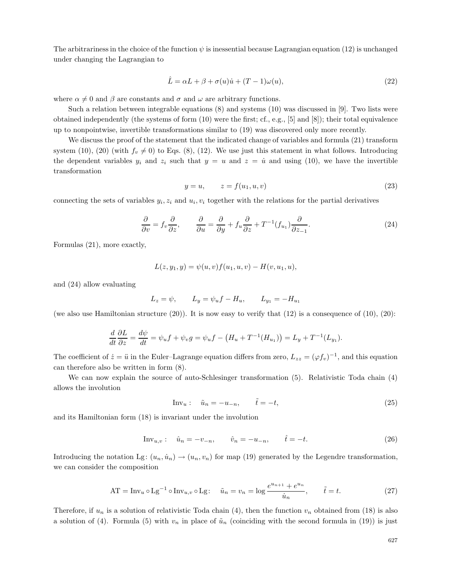The arbitrariness in the choice of the function  $\psi$  is inessential because Lagrangian equation (12) is unchanged under changing the Lagrangian to

$$
\hat{L} = \alpha L + \beta + \sigma(u)\dot{u} + (T - 1)\omega(u),\tag{22}
$$

where  $\alpha \neq 0$  and  $\beta$  are constants and  $\sigma$  and  $\omega$  are arbitrary functions.

Such a relation between integrable equations (8) and systems (10) was discussed in [9]. Two lists were obtained independently (the systems of form (10) were the first; cf., e.g., [5] and [8]); their total equivalence up to nonpointwise, invertible transformations similar to (19) was discovered only more recently.

We discuss the proof of the statement that the indicated change of variables and formula (21) transform system (10), (20) (with  $f_v \neq 0$ ) to Eqs. (8), (12). We use just this statement in what follows. Introducing the dependent variables  $y_i$  and  $z_i$  such that  $y = u$  and  $z = \dot{u}$  and using (10), we have the invertible transformation

$$
y = u, \qquad z = f(u_1, u, v) \tag{23}
$$

connecting the sets of variables  $y_i, z_i$  and  $u_i, v_i$  together with the relations for the partial derivatives

$$
\frac{\partial}{\partial v} = f_v \frac{\partial}{\partial z}, \qquad \frac{\partial}{\partial u} = \frac{\partial}{\partial y} + f_u \frac{\partial}{\partial z} + T^{-1} (f_{u_1}) \frac{\partial}{\partial z_{-1}}.
$$
\n(24)

Formulas (21), more exactly,

$$
L(z, y_1, y) = \psi(u, v) f(u_1, u, v) - H(v, u_1, u),
$$

and (24) allow evaluating

$$
L_z = \psi
$$
,  $L_y = \psi_u f - H_u$ ,  $L_{y_1} = -H_{u_1}$ 

(we also use Hamiltonian structure  $(20)$ ). It is now easy to verify that  $(12)$  is a consequence of  $(10)$ ,  $(20)$ :

$$
\frac{d}{dt}\frac{\partial L}{\partial z} = \frac{d\psi}{dt} = \psi_u f + \psi_v g = \psi_u f - \left(H_u + T^{-1}(H_{u_1})\right) = L_y + T^{-1}(L_{y_1}).
$$

The coefficient of  $\dot{z} = \ddot{u}$  in the Euler–Lagrange equation differs from zero,  $L_{zz} = (\varphi f_v)^{-1}$ , and this equation can therefore also be written in form(8).

We can now explain the source of auto-Schlesinger transformation (5). Relativistic Toda chain (4) allows the involution

$$
\text{Inv}_u: \quad \tilde{u}_n = -u_{-n}, \qquad \tilde{t} = -t,\tag{25}
$$

and its Hamiltonian form (18) is invariant under the involution

Inv<sub>u,v</sub>: 
$$
\hat{u}_n = -v_{-n}, \qquad \hat{v}_n = -u_{-n}, \qquad \hat{t} = -t.
$$
 (26)

Introducing the notation Lg:  $(u_n, \dot{u}_n) \rightarrow (u_n, v_n)$  for map (19) generated by the Legendre transformation, we can consider the composition

AT = Inv<sub>u</sub> o Lg<sup>-1</sup> o Inv<sub>u,v</sub> o Lg: 
$$
\tilde{u}_n = v_n = \log \frac{e^{u_{n+1}} + e^{u_n}}{\dot{u}_n}, \qquad \tilde{t} = t.
$$
 (27)

Therefore, if  $u_n$  is a solution of relativistic Toda chain (4), then the function  $v_n$  obtained from (18) is also a solution of (4). Formula (5) with  $v_n$  in place of  $\tilde{u}_n$  (coinciding with the second formula in (19)) is just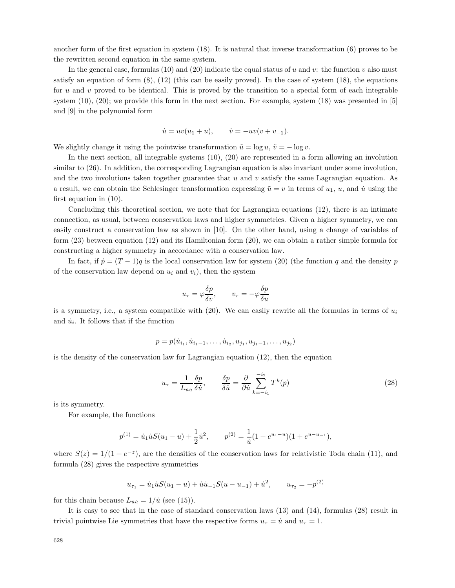another form of the first equation in system  $(18)$ . It is natural that inverse transformation  $(6)$  proves to be the rewritten second equation in the same system.

In the general case, formulas (10) and (20) indicate the equal status of u and v: the function v also must satisfy an equation of form  $(8)$ ,  $(12)$  (this can be easily proved). In the case of system  $(18)$ , the equations for u and v proved to be identical. This is proved by the transition to a special form of each integrable system  $(10)$ ,  $(20)$ ; we provide this form in the next section. For example, system  $(18)$  was presented in  $[5]$ and [9] in the polynomial form

$$
\dot{u} = uv(u_1 + u),
$$
  $\dot{v} = -uv(v + v_{-1}).$ 

We slightly change it using the pointwise transformation  $\tilde{u} = \log u$ ,  $\tilde{v} = -\log v$ .

In the next section, all integrable systems (10), (20) are represented in a form allowing an involution similar to (26). In addition, the corresponding Lagrangian equation is also invariant under some involution, and the two involutions taken together guarantee that  $u$  and  $v$  satisfy the same Lagrangian equation. As a result, we can obtain the Schlesinger transformation expressing  $\tilde{u} = v$  in terms of  $u_1, u$ , and  $\dot{u}$  using the first equation in (10).

Concluding this theoretical section, we note that for Lagrangian equations (12), there is an intimate connection, as usual, between conservation laws and higher symmetries. Given a higher symmetry, we can easily construct a conservation law as shown in [10]. On the other hand, using a change of variables of form (23) between equation (12) and its Hamiltonian form (20), we can obtain a rather simple formula for constructing a higher symmetry in accordance with a conservation law.

In fact, if  $\dot{p} = (T-1)q$  is the local conservation law for system (20) (the function q and the density p of the conservation law depend on  $u_i$  and  $v_i$ ), then the system

$$
u_{\tau} = \varphi \frac{\delta p}{\delta v}, \qquad v_{\tau} = -\varphi \frac{\delta p}{\delta u}
$$

is a symmetry, i.e., a system compatible with (20). We can easily rewrite all the formulas in terms of  $u_i$ and  $\dot{u}_i$ . It follows that if the function

$$
p = p(\dot{u}_{i_1}, \dot{u}_{i_1-1}, \dots, \dot{u}_{i_2}, u_{j_1}, u_{j_1-1}, \dots, u_{j_2})
$$

is the density of the conservation law for Lagrangian equation (12), then the equation

$$
u_{\tau} = \frac{1}{L_{\dot{u}\dot{u}}}\frac{\delta p}{\delta \dot{u}}, \qquad \frac{\delta p}{\delta \dot{u}} = \frac{\partial}{\partial \dot{u}}\sum_{k=-i_1}^{-i_2} T^k(p) \tag{28}
$$

is its symmetry.

For example, the functions

$$
p^{(1)} = \dot{u}_1 \dot{u} S(u_1 - u) + \frac{1}{2} \dot{u}^2, \qquad p^{(2)} = \frac{1}{\dot{u}} (1 + e^{u_1 - u})(1 + e^{u - u_{-1}}),
$$

where  $S(z)=1/(1 + e^{-z})$ , are the densities of the conservation laws for relativistic Toda chain (11), and formula (28) gives the respective symmetries

$$
u_{\tau_1} = \dot{u}_1 \dot{u} S(u_1 - u) + \dot{u} \dot{u}_{-1} S(u - u_{-1}) + \dot{u}^2, \qquad u_{\tau_2} = -p^{(2)}
$$

for this chain because  $L_{\dot{u}\dot{u}} = 1/\dot{u}$  (see (15)).

It is easy to see that in the case of standard conservation laws (13) and (14), formulas (28) result in trivial pointwise Lie symmetries that have the respective forms  $u_{\tau} = \dot{u}$  and  $u_{\tau} = 1$ .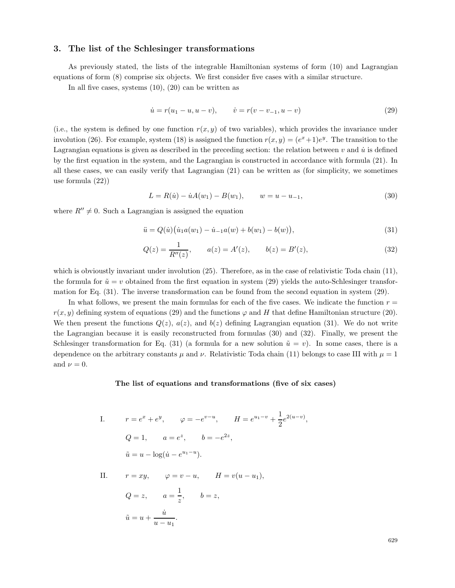## **3. The list of the Schlesinger transformations**

As previously stated, the lists of the integrable Hamiltonian systems of form (10) and Lagrangian equations of form (8) comprise six objects. We first consider five cases with a similar structure.

In all five cases, systems  $(10)$ ,  $(20)$  can be written as

$$
\dot{u} = r(u_1 - u, u - v), \qquad \dot{v} = r(v - v_{-1}, u - v) \tag{29}
$$

(i.e., the system is defined by one function  $r(x, y)$  of two variables), which provides the invariance under involution (26). For example, system (18) is assigned the function  $r(x, y)=(e^x+1)e^y$ . The transition to the Lagrangian equations is given as described in the preceding section: the relation between  $v$  and  $\dot{u}$  is defined by the first equation in the system, and the Lagrangian is constructed in accordance with formula (21). In all these cases, we can easily verify that Lagrangian (21) can be written as (for simplicity, we sometimes use formula (22))

$$
L = R(\dot{u}) - \dot{u}A(w_1) - B(w_1), \qquad w = u - u_{-1}, \tag{30}
$$

where  $R'' \neq 0$ . Such a Lagrangian is assigned the equation

$$
\ddot{u} = Q(\dot{u}) (\dot{u}_1 a(w_1) - \dot{u}_{-1} a(w) + b(w_1) - b(w)), \tag{31}
$$

$$
Q(z) = \frac{1}{R''(z)}, \qquad a(z) = A'(z), \qquad b(z) = B'(z), \tag{32}
$$

which is obvioustly invariant under involution (25). Therefore, as in the case of relativistic Toda chain (11), the formula for  $\tilde{u} = v$  obtained from the first equation in system (29) yields the auto-Schlesinger transformation for Eq. (31). The inverse transformation can be found from the second equation in system (29).

In what follows, we present the main formulas for each of the five cases. We indicate the function  $r =$  $r(x, y)$  defining system of equations (29) and the functions  $\varphi$  and H that define Hamiltonian structure (20). We then present the functions  $Q(z)$ ,  $a(z)$ , and  $b(z)$  defining Lagrangian equation (31). We do not write the Lagrangian because it is easily reconstructed from formulas  $(30)$  and  $(32)$ . Finally, we present the Schlesinger transformation for Eq. (31) (a formula for a new solution  $\tilde{u} = v$ ). In some cases, there is a dependence on the arbitrary constants  $\mu$  and  $\nu$ . Relativistic Toda chain (11) belongs to case III with  $\mu = 1$ and  $\nu = 0$ .

#### **The list of equations and transformations (five of six cases)**

I. 
$$
r = e^x + e^y
$$
,  $\varphi = -e^{v-u}$ ,  $H = e^{u_1-v} + \frac{1}{2}e^{2(u-v)}$ ,  
\n $Q = 1$ ,  $a = e^z$ ,  $b = -e^{2z}$ ,  
\n $\tilde{u} = u - \log(\dot{u} - e^{u_1-u})$ .

II.  $r = xy$ ,  $\varphi = v - u$ ,  $H = v(u - u_1)$ ,  $Q=z, \qquad a=\frac{1}{z}, \qquad b=z,$  $\tilde{u} = u + \frac{\dot{u}}{\sqrt{\frac{u}{\bar{u}}}}$  $\frac{u}{u-u_1}$ .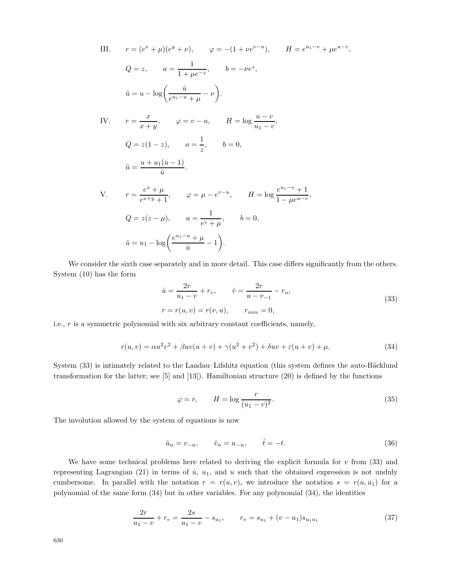III. 
$$
r = (e^x + \mu)(e^y + \nu), \qquad \varphi = -(1 + \nu e^{v-u}), \qquad H = e^{u_1-v} + \mu e^{u-v},
$$
  
\n $Q = z, \qquad a = \frac{1}{1 + \mu e^{-z}}, \qquad b = -\nu e^z,$   
\n $\tilde{u} = u - \log\left(\frac{\dot{u}}{e^{u_1-u} + \mu} - \nu\right).$   
\nIV.  $r = \frac{x}{x+y}, \qquad \varphi = v - u, \qquad H = \log \frac{u-v}{u_1-v},$   
\n $Q = z(1-z), \qquad a = \frac{1}{z}, \qquad b = 0,$   
\n $\tilde{u} = \frac{u + u_1(\dot{u} - 1)}{\dot{u}}.$   
\nV.  $r = \frac{e^x + \mu}{e^{x+y} + 1}, \qquad \varphi = \mu - e^{v-u}, \qquad H = \log \frac{e^{u_1-v} + 1}{1 - \mu e^{u-v}},$   
\n $Q = z(z - \mu), \qquad a = \frac{1}{e^z + \mu}, \qquad b = 0,$   
\n $\tilde{u} = u_1 - \log\left(\frac{e^{u_1-u} + \mu}{\dot{u}} - 1\right).$ 

We consider the sixth case separately and in more detail. This case differs significantly from the others. System  $(10)$  has the form

$$
\dot{u} = \frac{2r}{u_1 - v} + r_v, \qquad \dot{v} = \frac{2r}{u - v_{-1}} - r_u,
$$
  
\n
$$
r = r(u, v) = r(v, u), \qquad r_{uuu} = 0,
$$
\n(33)

i.e., r is a symmetric polynomial with six arbitrary constant coefficients, namely,

$$
r(u,v) = \alpha u^2 v^2 + \beta uv(u+v) + \gamma(u^2 + v^2) + \delta uv + \varepsilon(u+v) + \mu.
$$
\n(34)

System (33) is intimately related to the Landau–Lifshitz equation (this system defines the auto-Bäcklund transformation for the latter; see [5] and [13]). Hamiltonian structure (20) is defined by the functions

$$
\varphi = r, \qquad H = \log \frac{r}{(u_1 - v)^2}.
$$
\n(35)

The involution allowed by the system of equations is now

$$
\hat{u}_n = v_{-n}, \qquad \hat{v}_n = u_{-n}, \qquad \hat{t} = -t.
$$
\n(36)

We have some technical problems here related to deriving the explicit formula for  $v$  from (33) and representing Lagrangian (21) in terms of  $\dot{u}$ ,  $u_1$ , and u such that the obtained expression is not unduly cumbersome. In parallel with the notation  $r = r(u, v)$ , we introduce the notation  $s = r(u, u_1)$  for a polynomial of the same form (34) but in other variables. For any polynomial (34), the identities

$$
\frac{2r}{u_1 - v} + r_v = \frac{2s}{u_1 - v} - s_{u_1}, \qquad r_v = s_{u_1} + (v - u_1)s_{u_1 u_1}
$$
(37)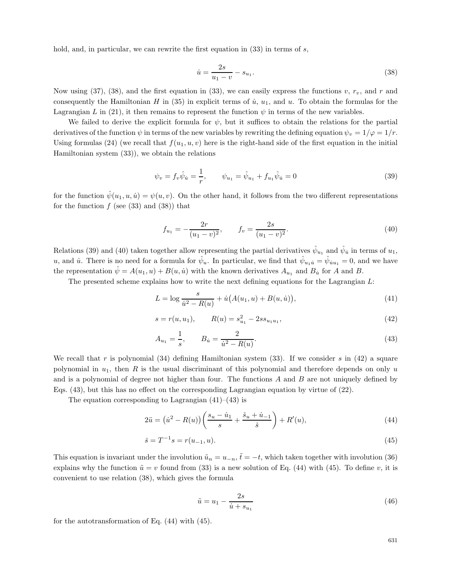hold, and, in particular, we can rewrite the first equation in  $(33)$  in terms of s,

$$
\dot{u} = \frac{2s}{u_1 - v} - s_{u_1}.\tag{38}
$$

Now using (37), (38), and the first equation in (33), we can easily express the functions v,  $r_v$ , and r and consequently the Hamiltonian H in (35) in explicit terms of  $\dot{u}$ ,  $u_1$ , and  $u$ . To obtain the formulas for the Lagrangian L in (21), it then remains to represent the function  $\psi$  in terms of the new variables.

We failed to derive the explicit formula for  $\psi$ , but it suffices to obtain the relations for the partial derivatives of the function  $\psi$  in terms of the new variables by rewriting the defining equation  $\psi_v = 1/\varphi = 1/r$ . Using formulas (24) (we recall that  $f(u_1, u, v)$  here is the right-hand side of the first equation in the initial Hamiltonian system (33)), we obtain the relations

$$
\psi_v = f_v \hat{\psi}_u = \frac{1}{r}, \qquad \psi_{u_1} = \hat{\psi}_{u_1} + f_{u_1} \hat{\psi}_u = 0 \tag{39}
$$

for the function  $\hat{\psi}(u_1, u, \dot{u}) = \psi(u, v)$ . On the other hand, it follows from the two different representations for the function  $f$  (see (33) and (38)) that

$$
f_{u_1} = -\frac{2r}{(u_1 - v)^2}, \qquad f_v = \frac{2s}{(u_1 - v)^2}.
$$
\n(40)

Relations (39) and (40) taken together allow representing the partial derivatives  $\hat{\psi}_{u_1}$  and  $\hat{\psi}_{u}$  in terms of  $u_1$ , u, and *u*. There is no need for a formula for  $\hat{\psi}_u$ . In particular, we find that  $\hat{\psi}_{u_1\dot{u}} = \hat{\psi}_{uu_1} = 0$ , and we have the representation  $\hat{\psi} = A(u_1, u) + B(u, \hat{u})$  with the known derivatives  $A_{u_1}$  and  $B_{\hat{u}}$  for A and B.

The presented scheme explains how to write the next defining equations for the Lagrangian  $L$ :

$$
L = \log \frac{s}{\dot{u}^2 - R(u)} + \dot{u}(A(u_1, u) + B(u, \dot{u})),\tag{41}
$$

$$
s = r(u, u_1), \qquad R(u) = s_{u_1}^2 - 2ss_{u_1u_1}, \qquad (42)
$$

$$
A_{u_1} = \frac{1}{s}, \qquad B_{\dot{u}} = \frac{2}{\dot{u}^2 - R(u)}.\tag{43}
$$

We recall that r is polynomial  $(34)$  defining Hamiltonian system  $(33)$ . If we consider s in  $(42)$  a square polynomial in  $u_1$ , then R is the usual discriminant of this polynomial and therefore depends on only u and is a polynomial of degree not higher than four. The functions  $A$  and  $B$  are not uniquely defined by Eqs. (43), but this has no effect on the corresponding Lagrangian equation by virtue of (22).

The equation corresponding to Lagrangian  $(41)$ – $(43)$  is

$$
2\ddot{u} = (\dot{u}^2 - R(u))\left(\frac{s_u - \dot{u}_1}{s} + \frac{\ddot{s}_u + \dot{u}_{-1}}{\ddot{s}}\right) + R'(u),\tag{44}
$$

$$
\check{s} = T^{-1}s = r(u_{-1}, u). \tag{45}
$$

This equation is invariant under the involution  $\tilde{u}_n = u_{-n}$ ,  $\tilde{t} = -t$ , which taken together with involution (36) explains why the function  $\tilde{u} = v$  found from (33) is a new solution of Eq. (44) with (45). To define v, it is convenient to use relation (38), which gives the formula

$$
\tilde{u} = u_1 - \frac{2s}{\dot{u} + s_{u_1}}\tag{46}
$$

for the autotransformation of Eq. (44) with (45).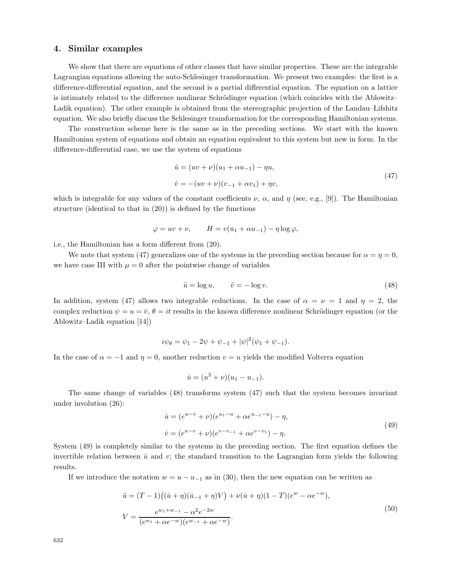## **4. Similar examples**

We show that there are equations of other classes that have similar properties. These are the integrable Lagrangian equations allowing the auto-Schlesinger transformation. We present two examples: the first is a difference-differential equation, and the second is a partial differential equation. The equation on a lattice is intimately related to the difference nonlinear Schrödinger equation (which coincides with the Ablowitz– Ladik equation). The other example is obtained from the stereographic projection of the Landau–Lifshitz equation. We also briefly discuss the Schlesinger transformation for the corresponding Hamiltonian systems.

The construction scheme here is the same as in the preceding sections. We start with the known Hamiltonian system of equations and obtain an equation equivalent to this system but new in form. In the difference-differential case, we use the system of equations

$$
\dot{u} = (uv + \nu)(u_1 + \alpha u_{-1}) - \eta u,
$$
  
\n
$$
\dot{v} = -(uv + \nu)(v_{-1} + \alpha v_1) + \eta v,
$$
\n(47)

which is integrable for any values of the constant coefficients  $\nu$ ,  $\alpha$ , and  $\eta$  (see, e.g., [9]). The Hamiltonian structure (identical to that in (20)) is defined by the functions

$$
\varphi = uv + \nu, \qquad H = v(u_1 + \alpha u_{-1}) - \eta \log \varphi,
$$

i.e., the Hamiltonian has a form different from (20).

We note that system (47) generalizes one of the systems in the preceding section because for  $\alpha = \eta = 0$ , we have case III with  $\mu = 0$  after the pointwise change of variables

$$
\tilde{u} = \log u, \qquad \tilde{v} = -\log v. \tag{48}
$$

In addition, system (47) allows two integrable reductions. In the case of  $\alpha = \nu = 1$  and  $\eta = 2$ , the complex reduction  $\psi = u = \bar{v}, \theta = it$  results in the known difference nonlinear Schrödinger equation (or the Ablowitz–Ladik equation [14])

$$
i\psi_{\theta} = \psi_1 - 2\psi + \psi_{-1} + |\psi|^2(\psi_1 + \psi_{-1}).
$$

In the case of  $\alpha = -1$  and  $\eta = 0$ , another reduction  $v = u$  yields the modified Volterra equation

$$
\dot{u} = (u^2 + \nu)(u_1 - u_{-1}).
$$

The same change of variables (48) transforms system (47) such that the system becomes invariant under involution (26):

$$
\dot{u} = (e^{u-v} + \nu)(e^{u_1-u} + \alpha e^{u_{-1}-u}) - \eta,
$$
  
\n
$$
\dot{v} = (e^{u-v} + \nu)(e^{v-v_{-1}} + \alpha e^{v-v_1}) - \eta.
$$
\n(49)

System (49) is completely similar to the systems in the preceding section. The first equation defines the invertible relation between  $\dot{u}$  and  $v$ ; the standard transition to the Lagrangian form yields the following results.

If we introduce the notation  $w = u - u_{-1}$  as in (30), then the new equation can be written as

$$
\ddot{u} = (T - 1)((\dot{u} + \eta)(\dot{u}_{-1} + \eta)V) + \nu(\dot{u} + \eta)(1 - T)(e^w - \alpha e^{-w}),
$$
  
\n
$$
V = \frac{e^{w_1 + w_{-1}} - \alpha^2 e^{-2w}}{(e^{w_1} + \alpha e^{-w})(e^{w_{-1}} + \alpha e^{-w})}.
$$
\n(50)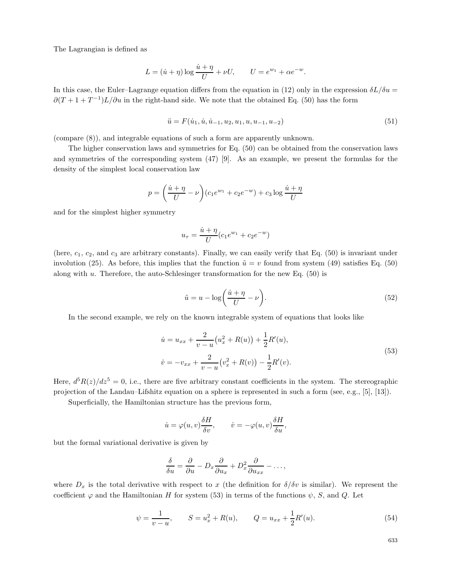The Lagrangian is defined as

$$
L = (\dot{u} + \eta) \log \frac{\dot{u} + \eta}{U} + \nu U, \qquad U = e^{w_1} + \alpha e^{-w}.
$$

In this case, the Euler–Lagrange equation differs from the equation in (12) only in the expression  $\delta L/\delta u =$  $\partial (T + 1 + T^{-1})L/\partial u$  in the right-hand side. We note that the obtained Eq. (50) has the form

$$
\ddot{u} = F(\dot{u}_1, \dot{u}, \dot{u}_{-1}, u_2, u_1, u, u_{-1}, u_{-2})
$$
\n(51)

(compare (8)), and integrable equations of such a form are apparently unknown.

The higher conservation laws and symmetries for Eq. (50) can be obtained from the conservation laws and symmetries of the corresponding system (47) [9]. As an example, we present the formulas for the density of the simplest local conservation law

$$
p = \left(\frac{\dot{u} + \eta}{U} - \nu\right) (c_1 e^{w_1} + c_2 e^{-w}) + c_3 \log \frac{\dot{u} + \eta}{U}
$$

and for the simplest higher symmetry

$$
u_{\tau} = \frac{\dot{u} + \eta}{U} (c_1 e^{w_1} + c_2 e^{-w})
$$

(here,  $c_1$ ,  $c_2$ , and  $c_3$  are arbitrary constants). Finally, we can easily verify that Eq. (50) is invariant under involution (25). As before, this implies that the function  $\tilde{u} = v$  found from system (49) satisfies Eq. (50) along with  $u$ . Therefore, the auto-Schlesinger transformation for the new Eq.  $(50)$  is

$$
\tilde{u} = u - \log\left(\frac{\dot{u} + \eta}{U} - \nu\right). \tag{52}
$$

In the second example, we rely on the known integrable system of equations that looks like

$$
\dot{u} = u_{xx} + \frac{2}{v - u} (u_x^2 + R(u)) + \frac{1}{2} R'(u),
$$
  
\n
$$
\dot{v} = -v_{xx} + \frac{2}{v - u} (v_x^2 + R(v)) - \frac{1}{2} R'(v).
$$
\n(53)

Here,  $d^5R(z)/dz^5 = 0$ , i.e., there are five arbitrary constant coefficients in the system. The stereographic projection of the Landau–Lifshitz equation on a sphere is represented in such a form(see, e.g., [5], [13]).

Superficially, the Hamiltonian structure has the previous form,

$$
\dot{u} = \varphi(u, v) \frac{\delta H}{\delta v}, \qquad \dot{v} = -\varphi(u, v) \frac{\delta H}{\delta u},
$$

but the formal variational derivative is given by

$$
\frac{\delta}{\delta u} = \frac{\partial}{\partial u} - D_x \frac{\partial}{\partial u_x} + D_x^2 \frac{\partial}{\partial u_{xx}} - \dots,
$$

where  $D_x$  is the total derivative with respect to x (the definition for  $\delta/\delta v$  is similar). We represent the coefficient  $\varphi$  and the Hamiltonian H for system (53) in terms of the functions  $\psi$ , S, and Q. Let

$$
\psi = \frac{1}{v - u}, \qquad S = u_x^2 + R(u), \qquad Q = u_{xx} + \frac{1}{2}R'(u). \tag{54}
$$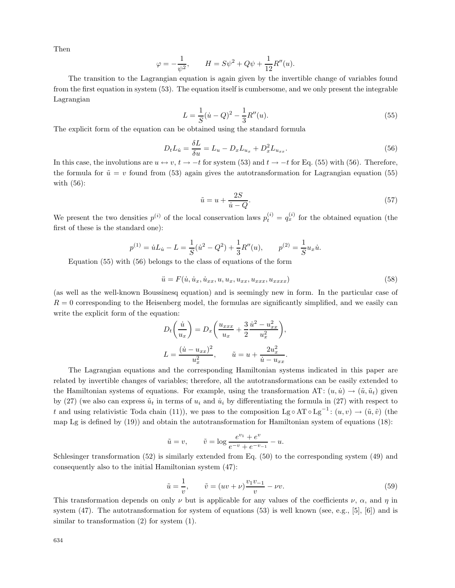Then

$$
\varphi = -\frac{1}{\psi^2}, \qquad H = S\psi^2 + Q\psi + \frac{1}{12}R''(u).
$$

The transition to the Lagrangian equation is again given by the invertible change of variables found fromthe first equation in system(53). The equation itself is cumbersome, and we only present the integrable Lagrangian

$$
L = \frac{1}{S}(\dot{u} - Q)^2 - \frac{1}{3}R''(u). \tag{55}
$$

The explicit formof the equation can be obtained using the standard formula

$$
D_t L_{\dot{u}} = \frac{\delta L}{\delta u} = L_u - D_x L_{u_x} + D_x^2 L_{u_{xx}}.
$$
\n(56)

In this case, the involutions are  $u \leftrightarrow v$ ,  $t \to -t$  for system (53) and  $t \to -t$  for Eq. (55) with (56). Therefore, the formula for  $\tilde{u} = v$  found from (53) again gives the autotransformation for Lagrangian equation (55) with (56):

$$
\tilde{u} = u + \frac{2S}{\dot{u} - Q}.\tag{57}
$$

We present the two densities  $p^{(i)}$  of the local conservation laws  $p_t^{(i)} = q_x^{(i)}$  for the obtained equation (the first of these is the standard one):

$$
p^{(1)} = \dot{u}L_{\dot{u}} - L = \frac{1}{S}(\dot{u}^2 - Q^2) + \frac{1}{3}R''(u), \qquad p^{(2)} = \frac{1}{S}u_x\dot{u}.
$$

Equation (55) with (56) belongs to the class of equations of the form

$$
\ddot{u} = F(\dot{u}, \dot{u}_x, \dot{u}_{xx}, u, u_x, u_{xx}, u_{xxx}, u_{xxxx})
$$
\n
$$
(58)
$$

(as well as the well-known Boussinesq equation) and is seemingly new in form. In the particular case of  $R = 0$  corresponding to the Heisenberg model, the formulas are significantly simplified, and we easily can write the explicit form of the equation:

$$
D_t\left(\frac{\dot{u}}{u_x}\right) = D_x\left(\frac{u_{xxx}}{u_x} + \frac{3}{2}\frac{\dot{u}^2 - u_{xx}^2}{u_x^2}\right),
$$
  

$$
L = \frac{(\dot{u} - u_{xx})^2}{u_x^2}, \qquad \tilde{u} = u + \frac{2u_x^2}{\dot{u} - u_{xx}}.
$$

The Lagrangian equations and the corresponding Hamiltonian systems indicated in this paper are related by invertible changes of variables; therefore, all the autotransformations can be easily extended to the Hamiltonian systems of equations. For example, using the transformation AT:  $(u, \dot{u}) \rightarrow (\tilde{u}, \tilde{u}_t)$  given by (27) (we also can express  $\tilde{u}_t$  in terms of  $u_i$  and  $\dot{u}_i$  by differentiating the formula in (27) with respect to t and using relativistic Toda chain (11)), we pass to the composition Lg ∘ AT ∘ Lg<sup>-1</sup>:  $(u, v) \rightarrow (\tilde{u}, \tilde{v})$  (the map Lg is defined by (19)) and obtain the autotransformation for Hamiltonian system of equations (18):

$$
\tilde{u} = v,
$$
\n $\tilde{v} = \log \frac{e^{v_1} + e^v}{e^{-v} + e^{-v_{-1}}} - u.$ 

Schlesinger transformation (52) is similarly extended from Eq. (50) to the corresponding system (49) and consequently also to the initial Hamiltonian system (47):

$$
\tilde{u} = \frac{1}{v}, \qquad \tilde{v} = (uv + \nu) \frac{v_1 v_{-1}}{v} - \nu v.
$$
\n(59)

This transformation depends on only  $\nu$  but is applicable for any values of the coefficients  $\nu$ ,  $\alpha$ , and  $\eta$  in system (47). The autotransformation for system of equations  $(53)$  is well known (see, e.g., [5], [6]) and is similar to transformation (2) for system (1).